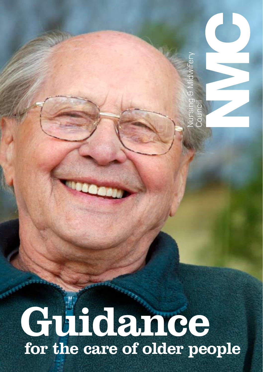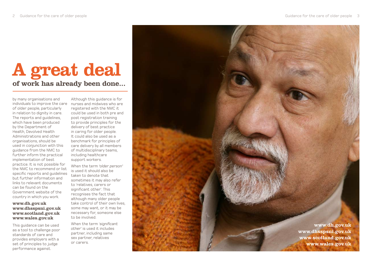## A great deal of work has already been done...

by many organisations and individuals to improve the care nurses and midwives who are of older people, particularly in relation to dignity in care. The reports and guidelines, which have been produced by the Department of Health, Devolved Health Administrations and other organisations, should be used in conjunction with this guidance from the NMC to further inform the practical implementation of best practice. It is not possible for the NMC to recommend or list specific reports and guidelines but further information and links to relevant documents can be found on the Government website of the country in which you work.

#### www.dh.gov.uk www.dhsspsni.gov.uk www.scotland.gov.uk www.wales.gov.uk

This guidance can be used as a tool to challenge poor standards of care and provides employers with a set of principles to judge performance against.

Although this guidance is for registered with the NMC it could be used in both pre and post registration training to provide principles for the delivery of best practice in caring for older people. It could also be used as a benchmark for principles of care delivery by all members of multidisciplinary teams, including healthcare support workers.

When the term *'older person '* is used it should also be taken to denote that sometimes it may also refer to 'relatives, carers or significant other '. This recognises the fact that although many older people take control of their own lives, some may want, or it may be necessary for, someone else to be involved.

When the term '*significant other* ' is used it includes partner, including same sex partner, relatives or carers.

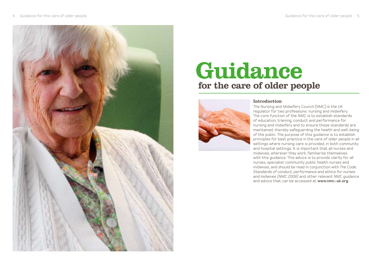

# Guidance for the care of older people



#### Introduction

The Nursing and Midwifery Council (NMC) is the UK regulator for two professions: nursing and midwifery. The core function of the NMC is to establish standards of education, training, conduct and performance for nursing and midwifery and to ensure those standards are maintained, thereby safeguarding the health and well-being of the public. The purpose of this guidance is to establish principles for best practice in the care of older people in all settings where nursing care is provided, in both community and hospital settings. It is important that all nurses and midwives, wherever they work, familiarise themselves with this guidance. This advice is to provide clarity for all nurses, specialist community public health nurses and midwives, and should be read in conjunction with *The Code: Standards of conduct, performance and ethics for nurses and midwives (NMC 2008)* and other relevant NMC guidance and advice that can be accessed at **www.nmc-uk.org**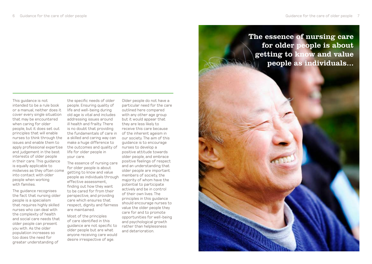The guidance recognises the fact that nursing older people is a specialism that requires highly skilled nurses who can deal with the complexity of health and social care needs that older people can present you with. As the older population increases so too does the need for greater understanding of

the specific needs of older people. Ensuring quality of life and well-being during old age is vital and includes addressing issues around ill health and frailty. There is no doubt that providing the fundamentals of care in a skilled and caring way can make a huge difference to life for older people in your care.

The essence of nursing care for older people is about getting to know and value people as individuals through effective assessment, finding out how they want to be cared for from their perspective, and providing care which ensures that respect, dignity and fairness are maintained.

Most of the principles of care identified in this guidance are not specific to older people but are what anyone receiving care would desire irrespective of age.

Older people do not have a particular need for the care outlined here compared with any other age group but it would appear that they are less likely to receive this care because of the inherent ageism in our society. The aim of this guidance is to encourage nurses to develop a positive attitude towards older people, and embrace positive feelings of respect and an understanding that older people are important members of society, the majority of whom have the potential to participate actively and be in control of their own lives. The principles in this guidance should encourage nurses to value the older people they care for and to promote opportunities for well-being and psychological growth rather than helplessness and deterioration.

The essence of nursing care for older people is about getting to know and value people as individuals...

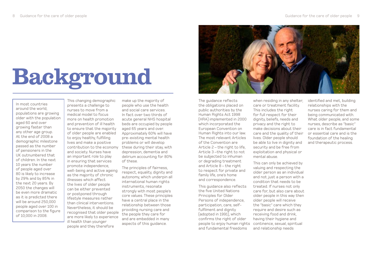# Background

In most countries around the world, populations are growing older with the population aged 60 and over growing faster than any other age group. At the end of 2008 a demographic milestone passed as the number of pensioners in the UK outnumbered that of children. In the next 10 years the number of people aged over 80 is likely to increase by 29% and by 85% in the next 20 years. By 2050 the changes will be even more dramatic as it is predicted there will be around 250,000 people aged over 100 in comparison to the figure of 10,000 in 2008.

This changing demographic presents a challenge to nurses to move from a medical model to focus more on health promotion and prevention of ill health to ensure that the majority of older people are enabled to enjoy healthy, fulfilling lives and make a positive contribution to the economy and society. Nurses have an important role to play in ensuring that services promote independence, well-being and active ageing as the majority of chronic illnesses which affect the lives of older people can be either prevented or postponed through lifestyle measures rather than clinical interventions. Nevertheless, it should be recognised that older people are more likely to experience ill health than younger people and they therefore

make up the majority of people who use the health and social care services. In fact over two thirds of acute general NHS hospital beds are occupied by people aged 65 years and over. Approximately 60% will have pre-existing mental health problems or will develop these during their stay, with depression, dementia and delirium accounting for 80% of these.

The principles of fairness, respect, equality, dignity and autonomy, which underpin all international human rights instruments, resonate strongly with most people's core values. These principles have a central place in the relationship between those providing nursing care and the people they care for and are embedded in many aspects of this guidance.



The guidance reflects the obligations placed on public authorities by the Human Rights Act 1998 (HRA) implemented in 2000 which incorporated the European Convention on Human Rights into our law. The most relevant Articles of the Convention are Article 2 – the right to life, Article 3 –the right to not be subjected to inhuman or degrading treatment and Article 8 – the right to respect for private and family life, one's home and correspondence.

This guidance also reflects the five United Nations Principles for Older Persons of independence, participation, care, selffulfilment and dignity (adopted in 1991), which confirms the right of older people to enjoy human rights and fundamental freedoms

when residing in any shelter, care or treatment facility. This includes the right for full respect for their dignity, beliefs, needs and privacy and the right to make decisions about their care and the quality of their lives. Older people should be able to live in dignity and security and be free from exploitation and physical or mental abuse.

This can only be achieved by valuing and respecting the older person as an individual and not just a person with a condition that needs to be treated. If nurses not only care for, but also care about older people in this way then older people will receive the "basic" care which they require and desire such as receiving food and drink, having their hygiene and continence, sexual, spiritual and relationship needs

identified and met, building relationships with the nurses caring for them and being communicated with. What older people, and some nurses, describe as "basic" care is in fact fundamental or essential care and is the foundation of the healing and therapeutic process.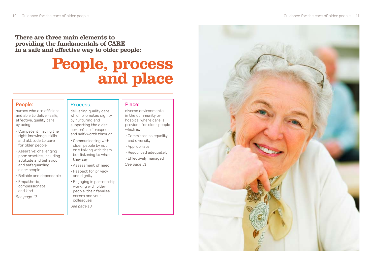There are three main elements to providing the fundamentals of CARE in a safe and effective way to older people:

## People, process **and place**

#### People:

nurses who are efficient and able to deliver safe, effective, quality care by being:

- •Competent: having the right knowledge, skills and attitude to care for older people
- •Assertive: challenging poor practice, including attitude and behaviour and safeguarding older people
- •Reliable and dependable
- •Empathetic, compassionate and kind

*See page 12*

#### Process:

delivering quality care which promotes dignity by nurturing and supporting the older person's self-respect

- Communicating with older people by not only talking with them, but listening to what they say
- •Assessment of need
- •Respect for privacy and dignity
- •Engaging in partnership working with older people, their families, carers and your colleagues

*See page 18*

#### Place:

diverse environments in the community or hospital where care is provided for older people which is:

- •Committed to equality and diversity
- •Appropriate
- •Resourced adequately
- •Effectively managed *See page 31*

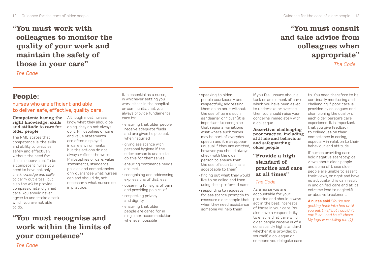"You must work with colleagues to monitor the quality of your work and maintain the safety of those in your care"

*The Code*

### People:

#### nurses who are efficient and able to deliver safe, effective, quality care.

#### Competent: having the right knowledge, skills and attitude to care for older people

The NMC states that competence is 'the skills and ability to practise safely and effectively without the need for direct supervision'. To be a competent nurse you need to have not only the *knowledge and skills* to carry out a task but also the *will* to provide compassionate, dignified care. You should never agree to undertake a task which you are not able to do.

*The Code*

Although most nurses know what they should be doing, they do not always do it. Philosophies of care and value statements are often displayed in care environments but the actions do not always reflect the words. Philosophies of care, value statements, standards, policies and competencies only guarantee what nurses can and should do, not necessarily what nurses do in practice.

"You must recognise and work within the limits of your competence"

It is essential as a nurse, in whichever setting you work either in the hospital or community, that you always provide fundamental care by:

- •ensuring that older people receive adequate fluids and are given help to eat when required
- giving assistance with personal hygiene if the older person is unable to do this for themselves
- •ensuring continence needs are met
- •recognising and addressing expressions of distress
- •observing for signs of pain and providing pain relief
- •respecting privacy and dignity
- •ensuring that older people are cared for in single sex accommodation whenever possible

•speaking to older people courteously and respectfully, addressing them as an adult without the use of terms such as "dearie" or "love" (it is important to recognise that regional variations exist where such terms may be part of everyday speech and it may appear unusual if they are omitted, however you should always check with the older person to ensure that the use of such terms is acceptable to them)

- •finding out what they would like to be called and then using their preferred name
- responding to requests for assistance promptly to reassure older people that when they need assistance someone will help them

If you feel unsure about a task or an element of care which you have been asked to undertake or oversee then you should raise your concerns immediately with

#### Assertive: challenging poor practice, including attitude and behaviour and safeguarding older people

#### "Provide a high standard of practice and care at all times"

#### *The Code*

a colleague.

As a nurse you are accountable for your practice and should always act in the best interests of those in your care. You also have a responsibility to ensure that care which older people receive is of a consistently high standard whether it is provided by yourself, a colleague or someone you delegate care

### "You must consult and take advice from colleagues when appropriate"

*The Code*

to. You need therefore to be continually monitoring and challenging if poor care is provided by colleagues and championing the quality of each older person's care experience. It is important that you give feedback to colleagues on their competence in caring, especially in relation to their behaviour and attitude.

If nurses providing care hold negative stereotypical views about older people and some of these older people are unable to assert their views, or right and have no advocate, this can result in undignified care and at its extreme lead to neglectful or abusive treatment:

**A nurse said** *"You're not getting back into bed until you eat this," but I couldn't eat it so I had to sit there. My legs were killing me (1)*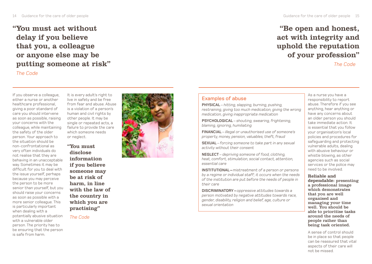"You must act without delay if you believe that you, a colleague or anyone else may be putting someone at risk"

*The Code*

If you observe a colleague, either a nurse or another healthcare professional, giving a poor standard of care you should intervene as soon as possible, raising your concerns with the colleague, while maintaining the safety of the older person. Your approach to the situation should be non-confrontational as very often individuals do not realise that they are behaving in an unacceptable way. Sometimes it may be difficult for you to deal with the issue yourself, perhaps because you may perceive the person to be more senior than yourself, but you should raise your concerns as soon as possible with a more senior colleague. This is particularly important when dealing with a potentially abusive situation with a vulnerable older person. The priority has to be ensuring that the person is safe from harm.

It is every adult's right to live in safety and be free from fear and abuse. Abuse is a violation of a person's human and civil rights by other people. It may be single or repeated acts, a failure to provide the care which someone needs or neglect.

"You must disclose information if you believe someone may be at risk of harm, in line with the law of the country in which you are practising"

#### *The Code*



#### 14 Guidance for the care of older people Guidance for the care of older people 15

### "Be open and honest, act with integrity and uphold the reputation of your profession"

*The Code*

#### Examples of abuse

**PHYSICAL** *– hitting, slapping, burning, pushing, restraining, giving too much medication, giving the wrong medication, giving inappropriate medication*

**PSYCHOLOGICAL** *– shouting, swearing, frightening, blaming, ignoring, humiliating*

**FINANCIAL** *– illegal or unauthorised use of someone's property, money, pension, valuables, theft, fraud* 

**SEXUAL** *– forcing someone to take part in any sexual activity without their consent*

**NEGLECT** *– depriving someone of food, clothing, heat, comfort, stimulation, social contact, attention, essential care* 

**INSTITUTIONAL –** *mistreatment of a person or persons by a regime or individual staff; it occurs when the needs of the institution are put before the needs of people in their care*

**DISCRIMINATORY –** *oppressive attitudes towards a person motivated by negative attitudes towards race, gender, disability, religion and belief, age, culture or sexual orientation*

As a nurse you have a responsibility to report abuse. Therefore if you see anything, hear anything or have any concerns about an older person you should take immediate action. It is essential that you follow your organisation's local policies and procedures for safeguarding and protecting vulnerable adults, dealing with abusive behaviour or whistle blowing, as other agencies such as social services or the police may need to be involved.

#### Reliable and

dependable: presenting a professional image which demonstrates that you are well organised and managing your time well. You should be able to prioritise tasks around the needs of people rather than being task oriented.

A sense of control should be in place so that people can be reassured that vital aspects of their care will not be missed.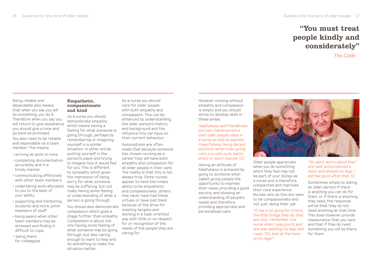### "You must treat people kindly and considerately"

*The Code*

Being reliable and dependable also means that when you say you will do something, you do it. Therefore when you say you will return to give assistance you should give a time and go back as promised. You also need to be reliable and dependable as a team member. This means:

- •arriving at work on time
- •completing documentation accurately and in a timely manner
- •communicating effectively with other team members
- •undertaking work allocated to you to the best of your ability
- •supporting and mentoring students and more junior members of staff
- •being aware when other team members may be stressed and finding it difficult to cope
- 'being there' for colleagues

#### Empathetic, compassionate and kind

As a nurse you should demonstrate empathy which means having a feeling for what someone is going through, perhaps by remembering or imagining yourself in a similar situation. In other words putting yourself in the person's place and trying to imagine how it would feel for you. This is different to sympathy which gives the impression of being sorry for what someone may be suffering, but not really having some feeling or understanding of what a person is going through.

You should also demonstrate compassion which goes a stage further than empathy. Compassion is about not only having some feeling of what someone may be going through, but also caring enough to want to help and do something to make the situation better.

As a nurse you should care for older people with both empathy and compassion. This can be enhanced by understanding the older person's history and background and the influence this can have on their current behaviour.

Assumptions are often made that because someone has chosen nursing as a career they will have both empathy and compassion for all older people in their care. The reality is that this is not always true. Some nurses appear to have the innate ability to be empathetic and compassionate; others may never have had these virtues or have lost them because of the drive for meeting targets and working in a task-oriented way with little or no respect for or recognition of the needs of the people they are caring for.

However nursing without empathy and compassion is empty and you should strive to develop skills in these areas.

*Helpfulness and friendliness are two characteristics that older people value in a nurse as well as warmth, cheerfulness, being decent and kind rather than giving care in a cold, surly, harsh, sharp or stern manner (2)*

Having an attitude of helpfulness is achieved by going to someone when called, giving people the opportunity to express their views, providing a good service, and showing an understanding of people's needs and therefore providing appropriate and personalised care.

not just 'doing their job' "*It has a lot going for it here, the little things they do, that are nice. I remember one nurse when I was poorly and she was washing my legs and I said: "Oh, look at the hairs on my legs!"* 

Older people appreciate when you do something which they feel may not be part of your duties as a nurse and is therefore unexpected and improves their care experience. Nurses who do this are seen to be compassionate and



*"Oh, don't worry about that" she said, and produced a razor and shaved my legs. I did feel good after that (1)*

Sometimes simply by asking an older person if there is anything you can do for them, or if there is anything they need, the response will be that they do not need anything at that time. This does however provide reassurance that you care and that if they do need something you will be there for them.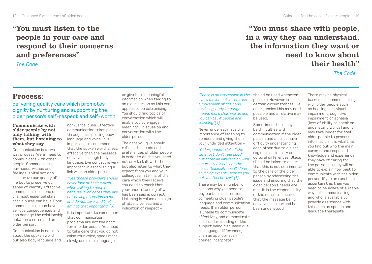### "You must listen to the people in your care and respond to their concerns and preferences"

*The Code*

### Process:

#### delivering quality care which promotes dignity by nurturing and supporting the older person's self-respect and self-worth

#### Communicate with older people by not only talking with them, but listening to what they say.

Communication is a twoway process. We all need to communicate with other people. Communicating our needs, wishes and feelings is vital not only to improve our quality of life but to preserve our sense of identity. Effective communication is one of the most essential skills that a nurse can have. Poor communication can have serious consequences and can damage the relationship between a nurse and an older person.

Communication is not only about the spoken word but also body language and

non-verbal cues. Effective communication takes place through interpreting body language and voice. It is important to remember that the spoken word is less effective than the message conveyed through body language. Eye contact is very important in establishing a link with an older person –

*"Healthcare providers should never look at their watch when talking to people because it indicates they are not paying attention to me and do not care, and that I am not that important" (3)*

It is important to remember that communication problems are not the norm for all older people. You need to take care that you do not raise your voice, speak more slowly, use simple language

or give little meaningful information when talking to an older person as this can appear to be patronising. You should find topics of conversation which will enable you to engage in meaningful discussion and conversation with the older person.

The care you give should reflect the needs and preferences of older people. In order to do this you need not only to talk with them but also listen to what they expect from you and your colleagues in terms of the care which they receive. You need to check that your understanding of what has been said is correct. Listening is valued as a sign of attentiveness and an indication of respect –

18 Guidance for the care of older people Guidance for the care of older people 19

"You must share with people, in a way they can understand, the information they want or need to know about their health"

*The Code*

*"There is an expression in the*  should be used whenever *eye, a movement in the face, a movement of the hand, anything, body language means more than words and you can tell if people are listening"(4)* 

Never underestimate the importance of listening to someone and giving them your undivided attention –

*"Older people, a lot of the time just don't feel good" but after an interaction with a nurse realised that the nurse "basically hasn't done anything except listen to you, but you feel better" (1)* 

There may be a number of reasons why you need to pay particular attention to meeting older people's language and communication needs. If an older person is unable to communicate effectively, and demonstrate a full understanding of the subject being discussed due to language differences, then an appropriately trained interpreter

possible. However in certain circumstances like. emergencies this may not be possible and a relative may be used.

Sometimes there may be difficulties with communication if the older person and a nurse have difficulty understanding each other due to dialect, regional, nationality or cultural differences. Steps should be taken to ensure that this is not detrimental to the care of the older person by addressing the issue and ensuring that the older person's needs are met. It is the responsibility of the nurse to ensure that the message being conveyed is clear and has been understood.

There may be physical barriers to communicating with older people such as hearing loss, visual impairment, cognitive impairment or aphasia (loss of ability to speak or understand words) and it may take longer for frail older people to process information. It is vital that you find out who the main carer is and respect the knowledge and experience they have of caring for the person as they will be able to explain how best to communicate with the older person. If you are unable to ascertain this then you need to be aware of suitable ways of communicating and who is available to provide assistance with this, such as speech and language therapists.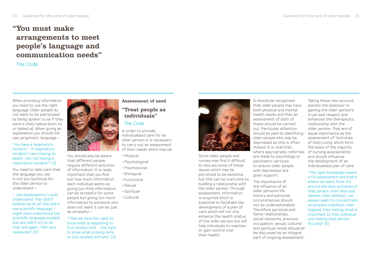### "You must make arrangements to meet people's language and communication needs"

#### *The Code*

When providing information you need to use the right language. Older people do not want to be patronised by being spoken to as if they were a child, talked down to or talked at. When giving an explanation you should not use jargonistic language –

#### "*You have a respiratory incident.*" "*A respiratory incident? I am choking to death. I am not having a respiratory incident!*" *(3)*

You need to take care that the language you use is not too technical for the older person to understand –

*"...the explanations I could understand. They didn't belittle me at all. She didn't use scientific language. I might have understood the scientific language possibly, but she didn't try to do that and again, I felt very reassured" (5)*



You should also be aware that different people require different amounts of information. It is really important that you find out how much information each individual wants as giving too little information can be stressful for some people but giving too much information to someone who does not want it can be just as stressful –

*"I feel we have the right to know what is happening to (our bodies) and …the right to know what is being done to (our bodies) and why" (3)* 

#### Assessment of need

#### "Treat people as individuals"

#### *The Code*

In order to provide individualised care for an older person it is necessary to carry out an assessment of their needs which may be:

- •Physical
- •Psychological
- •Psychosocial
- •Biological
- •Functional
- •Sexual
- •Spiritual
- •Cultural





Some older people and nurses may find it difficult to discuss some of these issues which may be perceived to be sensitive, but this can be overcome by building a relationship with the older person. Through assessment, information is acquired which is essential to facilitate the development of a plan of care which will not only enhance the health status of the older person but will help individuals to maintain or gain control over their health.

It should be recognised that older people may have both physical and mental health needs and that an assessment of both of these should be carried out. Particular attention should be paid to identifying older people who may be depressed as this is often missed. It is vital that, where appropriate, referrals are made to psychology or psychiatric services to ensure older people with depression are given support.

The importance of the influence of an older person's life history and personal circumstances should not be underestimated. Therefore personal and family relationships, social networks, previous occupation, sexual, cultural and spiritual needs should all be discussed as an integral part of ongoing assessment.

Taking these into account assists the assessor in gaining the older person's trust and respect and enhances the therapeutic relationship with the older person. They are of equal importance as the assessment of 'Activities of Daily Living' which form the basis of the majority of nursing assessments and should influence the development of an individualised plan of care.

*"The right knowledge means a full assessment and that's where we start from. It's around the daily activities of that person, their likes and dislikes, their abilities – we always seem to concentrate on people's inabilities, their hygiene, their eating, what is important to that individual and making that person focused" (6)*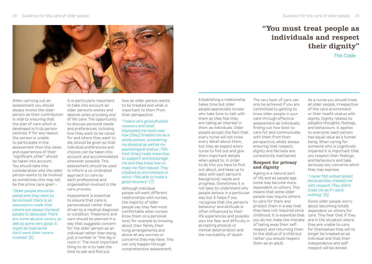

When carrying out an assessment you should always involve the older is vital to ensuring that the plan of care which is developed is truly person centred. If for any reason the person is unable to participate in the assessment then the views and experiences of their "significant other" should be taken into account. You should take into consideration who the older person wants to be involved as sometimes this may not be the prime care giver –

*"Older people should be asked who they want to be involved, there is an assumption made that carers are always the best people to advocate. There are some abusive carers, as well as some very good. It might be that some don't want their carers involved*" *(6)*

person as their contribution desires when providing end It is particularly important to take into account an older person's wishes and of life care. The opportunity to discuss personal needs and preferences, including how they want to be cared for and where they want to die, should be given so that individual preferences and choices can be taken into account and accommodated whenever possible. This assessment should be used to inform a co-ordinated approach to care by each professional and organisation involved in the care process.

> Assessment is essential to ensure that care is personalised rather than driven by a medical diagnosis or condition. Treatment and care should be planned in a way that suggests concern for the older person as an individual rather than being just a number or "the leg in room x". The most important thing to do is to take the time to ask and find out

how an older person wants to be treated and what is important to them from their perspective

#### *"I had a very good physical recovery and what impressed me most was how (they) treated me as a whole person, considering my physical as well as my psychological status. I felt that (they) really knew how*

*to support and encourage me and they knew how to make me feel relaxed. They created an environment in which I felt able to make a good recovery" (7)*

Although individual people will want different relationships with nurses, the majority of older people say they feel most comfortable when nurses know them on a personal level, for example by knowing about their family, their living arrangements and above all any worries or concerns they may have. This can only happen through comprehensive assessment.

Establishing a relationship takes time but older people appreciate nurses who take time to talk with them as they feel they are taking an interest in them as individuals. Older people accept the fact that every nurse will not know every detail about them, but they do expect every nurse to find out and give them important details when asked to. In order to do this you have to find out about, and keep up to date with each person's background, needs and progress. Sometimes it is not easy to understand why people behave in a particular way but it helps if you recognise that the person's behaviour and attitude is often influenced by their life experiences and possibly also the fear and difficulty in accepting physical or mental deterioration and the inevitability of death.

The very best of care can only be achieved if you are committed to getting to know older people in your care through effective assessment as individuals, finding out how best to care for and communicate with them from their perspective, whilst always ensuring that respect, dignity and fairness are consistently maintained.

#### Respect for privacy and dignity

Ageing is a natural part of life and as people age some may become more dependent on others. This means that some older people may require others to care for them and protect them in a way that they have not required since childhood. It is essential that care. They fear that if they you do not make the mistake are in the situation where of taking away their selfrespect and returning them to the status of a child but rather you should respect them as an adult.

"You must treat people as individuals and respect their dignity"

*The Code*

As a nurse you should treat all older people, irrespective of the care environment or their health status with dignity. Dignity relates to people's thoughts, feelings, and behaviours. It applies to everyone; each person has equal value as a human being. When caring for someone who is cognitively impaired it is important that you respect their feelings and behaviours and take seriously any concerns which they may express.

#### "*I never felt embarrassed because they treated me with respect. They didn't treat me as if I were nothing*" *(8)*

Some older people worry about becoming totally dependent on others for they are unable to care for themselves they will no longer be treated as an individual and that their independence and selfrespect will be denied.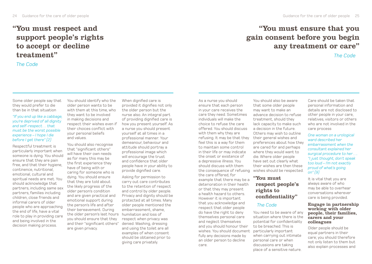### "You must respect and support people's rights to accept or decline treatment"

#### *The Code*

#### Some older people say that they would prefer to die than be in that situation

#### *"If you end up like a cabbage, you're deprived of all dignity and self-respect… that must be the worst possible experience – I hope I die before I get there" (2)*

Respectful treatment is particularly important when someone is dying. You should ensure that they are pain free, and that their hygiene, continence, nutritional, emotional, cultural and spiritual needs are met. You should acknowledge that partners, including same sex partners, families including children, close friends and informal carers of older people who are approaching the end of life, have a vital role to play in providing care and being involved in the decision making process.

You should identify who the older person wants to be with them at this time, who they want to be involved in making decisions and respect their wishes even if their choices conflict with your personal beliefs and values.

You should also recognise that "significant others" will have their own needs as for many this may be the first experience they have of being with or caring for someone who is dying. You should ensure that they are told about the likely progress of the older person's condition and are given practical and emotional support during the person's life and after their bereavement. During the older person's last hours you should ensure that they and their "significant others" are given privacy.

When dignified care is provided it dignifies not only the older person but the nurse also. An integral part of providing dignified care is how you present yourself. As a nurse you should present yourself at all times in a professional manner. Your demeanour, behaviour and attitude should portray a professional image which will encourage the trust. and confidence that older people have in your ability to provide dignified care.

Asking for permission to carry out care contributes to the retention of respect and control by older people. Privacy and dignity should be protected at all times. Many older people mentioned the embarrassment, shame, humiliation and loss of respect when privacy was denied. Washing, dressing and using the toilet are all examples of when consent should be obtained prior to giving care privately.

### "You must ensure that you gain consent before you begin any treatment or care"

*The Code*

ensure that each person in your care receives the care they need. Sometimes individuals will make the choice to refuse the care offered. You should discuss with them why they are refusing. It may be that they feel this is a way for them to maintain some control in their life or may indicate the onset or existence of a depressive illness. You should discuss with them the consequence of refusing the care offered, for example that there may be a deterioration in their health or that they may present a health hazard to others. However it is important that you acknowledge and respect that older people do have the right to deny themselves personal care and neglect themselves and you should honour their wishes. You should document fully any decisions made by an older person to decline care.

As a nurse you should

You should also be aware that some older people may want to make an advance decision to refuse treatment, should they lack capacity to make such a decision in the future. Others may wish to outline their general wishes and preferences about how they are cared for and perhaps where they would want to die. Where older people have set out clearly what their wishes are then these wishes should be respected.

#### "You must respect people's rights to confidentiality"

#### *The Code*

You need to be aware of any situation where there is the potential for confidentiality to be breached. This is particularly important when carrying out intimate personal care or when discussions are taking place of a sensitive nature.

Care should be taken that personal information and details are not disclosed to other people in your care, relatives, visitors or others who are not involved in the care process

*One woman on a urological ward described her embarrassment when the consultant explained her surgical procedure to her…. "I just thought, don't speak too loud – I'm not exactly proud of what's going on" (9)* 

It is vital that you are always aware of who may be able to overhear conversations wherever care is being provided.

#### Engage in partnership working with older people, their families, carers and your colleagues

Older people should be equal partners in their care; you should therefore not only listen to them but also explain processes and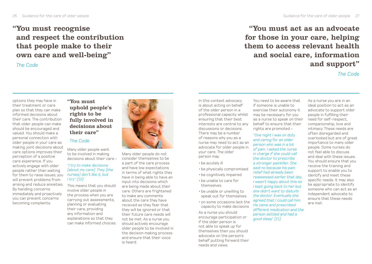### "You must recognise and respect the contribution that people make to their own care and well-being"

*The Code*

#### options they may have in their treatment or care plan so that they can make informed decisions about their care. The contribution that older people can make should be encouraged and valued. You should make a personal connection with older people in your care as making joint decisions about care options improves their perception of a positive care experience. If you actively engage with older people rather than waiting for them to raise issues, you *nurses) don't like it, but*  will prevent problems from arising and reduce anxieties. By handling concerns immediately and proactively you can prevent concerns becoming complaints.

"You must uphold people's rights to be fully involved in decisions about their care"

#### *The Code*

Many older people want to be involved in making decisions about their care –

#### "*I try to make decisions (about my care). They (the I try*" *(10)*

This means that you should involve older people in the process when you are carrying out assessments, planning or evaluating their care, providing any information and explanations so that they can make informed choices.



Many older people do not consider themselves to be a part of the care process and have low expectations in terms of what rights they have in being able to have an input into decisions which are being made about their care. Others are frightened to make any comments about the care they have received as they fear that they will be ignored or that their future care needs will not be met. As a nurse you should actively encourage older people to be involved in the decision making process and ensure that their voice is heard.

In this context advocacy is about acting on behalf of the older person in a professional capacity whilst ensuring that their best interests are central to any discussions or decisions. There may be a number of reasons why you as a nurse may need to act as an advocate for older people in your care. The older person may

- •be acutely ill
- •be physically compromised
- •be cognitively impaired •be unable to care for
- themselves
- •be unable or unwilling to speak out for themselves
- •on some occasions lack the capacity to make decisions

As a nurse you should encourage participation or if the older person is not able to speak up for themselves then you should advocate on the person's behalf putting forward their needs and views.

You need to be aware that if someone is unable to exercise their autonomy it As a nurse you are in an

may be necessary for you as a nurse to speak on their behalf to ensure that their rights are promoted – "*One night I was on duty and caring for an older person who was in a lot of pain. I asked the nurse in charge if she could call the doctor to prescribe a stronger painkiller. She said no because his pain relief had already been reassessed earlier that day. I wasn't happy about this so I kept going back to her but she didn't want to disturb the doctor. Eventually she agreed that I could call him. He came and prescribed different medication and the person settled and had a* 

*good sleep*" *(11)* 

ideal position to act as an advocate to support older people in fulfilling their need for self-respect, companionship, love and intimacy. These needs are often disregarded and overlooked but are of great importance to many older people. Some nurses do not feel able to discuss and deal with these issues. You should ensure that you receive the training and support to enable you to identify and meet these specific needs. It may also be appropriate to identify someone who can act as an independent advocate to ensure that these needs are met.

"You must act as an advocate for those in your care, helping them to access relevant health and social care, information and support"

#### *The Code*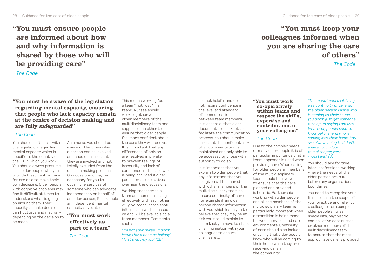"You must ensure people are informed about how and why information is shared by those who will be providing care"

*The Code*

#### "You must be aware of the legislation regarding mental capacity, ensuring that people who lack capacity remain at the centre of decision making and are fully safeguarded"

#### *The Code*

You should be familiar with the legislation regarding mental capacity which is specific to the country of the UK in which you work. You should always presume that older people who you provide treatment or care for are able to make their own decisions. Older people with cognitive problems may find it difficult at times to understand what is going on around them. Their capacity to make decisions can fluctuate and may vary depending on the decision to be made.

As a nurse you should be aware of the times when a person can be involved and should ensure that they are involved and not totally excluded from the decision making process. On occasions it may be necessary for you to obtain the services of someone who can advocate independently on behalf of an older person, for example an independent mental capacity advocate.

"You must work effectively as part of a team"

*The Code*

This means working "as a team" not just "in a team". Nurses should work together with other members of the multidisciplinary team and support each other to ensure that older people feel more confident about the care they will receive. It is important that any differences of opinion are resolved in private to prevent feelings of insecurity and lack of confidence in the care which is being provided if older people or their relatives overhear the discussions.

Working together as a team and communicating effectively with each other will give reassurance that information will be passed on and will be available to all team members. Comments such as

*"I'm not your nurse", "I don't know, I have been on holiday", "That's not my job" (12)*

are not helpful and do not inspire confidence in the level and standard of communication between team members. It is essential that clear documentation is kept to facilitate the communication process. You should make sure that the confidentiality of all documentation is maintained and only able to be accessed by those with authority to do so.

It is important that you explain to older people that any information that you are given will be shared with other members of the multidisciplinary team to ensure continuity of care. For example if an older person shares information with you which leads you to believe that they may be at risk you should explain to them that you have to share this information with your colleagues to ensure their safety.

#### "You must work co-operatively within teams and respect the skills, expertise and contributions of your colleagues"

#### *The Code*

Due to the complex needs of many older people it is of particular importance that a team approach is used when providing care. When caring for older people all members of the multidisciplinary team should be involved to ensure that the care planned and provided is holistic. Partnership working with older people and all the members of the multidisciplinary team is particularly important when a transition is being made between services and care environments. Continuity of care should also include ensuring that older people know who will be coming to their home when they are receiving care in the community

### "You must keep your colleagues informed when you are sharing the care of others"

*The Code*

*"The most important thing was continuity of care, so the older person knows who is coming to their house, you don't just get someone turning up saying I am Mrs Whatever, people need to know beforehand who is coming into their home. You are always being told don't answer your door to a stranger, very important" (6)*

You should aim for true inter-professional working where the needs of the older person are put before any organisational boundaries.

You need to recognise your limitations in the scope of your practice and refer to a colleague, for example older people's nurse specialists, psychiatric and palliative care nurses or other members of the multidisciplinary team, to ensure that the most appropriate care is provided.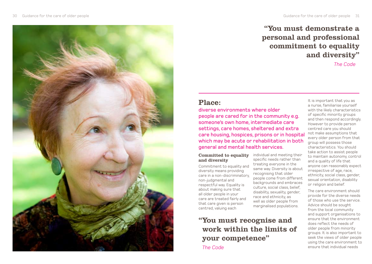### "You must demonstrate a personal and professional commitment to equality and diversity"

*The Code*

### Place:

diverse environments where older people are cared for in the community e.g. someone's own home, intermediate care settings, care homes, sheltered and extra care housing, hospices, prisons or in hospital which may be acute or rehabilitation in both general and mental health services.

> individual and meeting their specific needs rather than treating everyone in the same way. Diversity is about recognising that older people come from different backgrounds and embraces culture, social class, belief, disability, sexuality, gender, race and ethnicity, as well as older people from marginalised populations.

#### Committed to equality and diversity

Commitment to equality and diversity means providing care in a non-discriminatory, non-judgmental and respectful way. Equality is about making sure that all older people in your care are treated fairly and that care given is person centred, valuing each

"You must recognise and work within the limits of your competence" *The Code*

It is important that you as a nurse, familiarise yourself with the likely characteristics of specific minority groups and then respond accordingly. However to provide person centred care you should not make assumptions that every older person from that group will possess those characteristics. You should take action to assist people to maintain autonomy, control and a quality of life that anyone can reasonably expect irrespective of age, race, ethnicity, social class, gender, sexual orientation, disability or religion and belief.

The care environment should provide for the diverse needs of those who use the service. Advice should be sought from the local community and support organisations to ensure that the environment does reflect the needs of older people from minority groups. It is also important to seek the views of older people using the care environment to ensure that individual needs

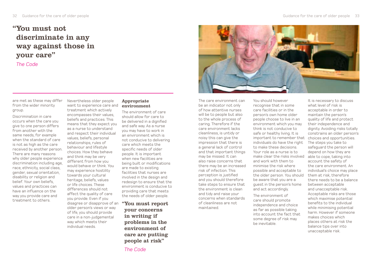### "You must not discriminate in any way against those in your care"

*The Code*

are met as these may differ from the wider minority group.

Discrimination in care occurs when the care you give to one person differs from another with the same needs, for example when the standard of care is not as high as the care received by another person. There are many reasons why older people experience discrimination including age, race, ethnicity, social class, gender, sexual orientation, disability or religion and belief. Your own beliefs, values and practices can have an influence on the way you provide care and treatment to others.

Nevertheless older people want to experience care and treatment which actively encompasses their values, beliefs and practices. This means that they expect you as a nurse to understand and respect their individual values, beliefs, personal relationships, rules of behaviour and lifestyle choices. How they behave and think may be very different from how you would behave or think. You may experience hostility towards your cultural heritage, beliefs, values or life choices. These differences should not affect the quality of care you provide. Even if you disagree or disapprove of an older person's views or way of life, you should provide care in a non-judgemental way which meets their individual needs.

#### Appropriate environment

The environment of care should allow for care to be delivered in a dignified and safe way. As a nurse you may have to work in an environment which is not conducive to delivering care which meets the specific needs of older people. It is important when new facilities are being built or modifications are made to existing facilities that nurses are involved in the design and redesign to ensure that the environment is conducive to providing care that meets the needs of older people.

"You must report your concerns in writing if problems in the environment of care are putting people at risk"



The care environment can be an indicator not only of how attentive nurses will be to people but also to the whole process of caring. Therefore if the care environment lacks cleanliness, is untidy or noisy this can give the impression that there is a general lack of control and that important things may be missed. It can also raise concerns that there may be an increased risk of infection. This perception is justified and you should therefore take steps to ensure that the environment is clean and tidy and raise your concerns when standards of cleanliness are not maintained.

You should however recognise that in some care facilities or in the person's own home older people choose to live in an environment which you may think is not conducive to safe or healthy living. It is important to remember that choices and opportunities. individuals do have the right to make these decisions. Your role as a nurse is to make clear the risks involved able to cope, taking into and work with them to minimise the risk where possible and acceptable to the older person. You should be aware that you are a guest in the person's home and act accordingly.

The environment of care should promote independence and choice as far as possible taking into account the fact that some degree of risk may be inevitable.

It is necessary to discuss what level of risk is acceptable in order to maintain the person's quality of life and protect their independence and dignity. Avoiding risks totally constrains an older person's The steps you take to safeguard the person will depend on how they are account the safety of the care environment. An individual's choice may place them at risk, therefore there needs to be a balance between acceptable and unacceptable risk. Acceptable risks are those which maximise potential benefits to the individual while minimising potential harm. However if someone makes choices which places others at risk the balance tips over into unacceptable risk.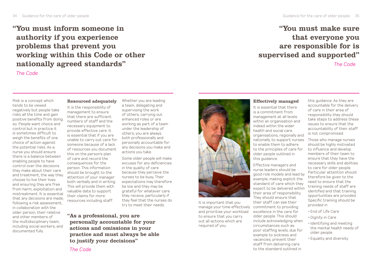"You must inform someone in authority if you experience problems that prevent you working within this Code or other nationally agreed standards"

*The Code*

### "You must make sure that everyone you are responsible for is supervised and supported"

*The Code*

Risk is a concept which tends to be viewed negatively but people take risks all the time and gain positive benefits from doing so. People want choice and control but in practice it is sometimes difficult to weigh the benefits of one choice of action against the potential risks. As a nurse you should ensure there is a balance between enabling people to have control over the decisions they make about their care and treatment, the way they choose to live their lives and ensuring they are free from harm, exploitation and mistreatment. It is essential that any decisions are made, following a risk assessment, in collaboration with the older person, their relative and other members of the multidisciplinary team, including social workers, and documented fully.

#### Resourced adequately

It is the responsibility of management to ensure that there are sufficient numbers of staff and the necessary equipment to provide effective care. It is essential that if you are unable to carry out care for someone because of a lack of resources you document this on the person's plan of care and record the consequences for the person. This information should be brought to the attention of your manager both verbally and in writing. This will provide them with valuable data to support their claims for more resources including staff.

Whether you are leading a team, delegating and supervising the work of others, carrying out enhanced roles or are working as part of a team under the leadership of others, you are always both professionally and personally accountable for any decisions you make and actions you take.

Some older people will make excuses for any deficiencies in the quality of care because they perceive the nurses to be busy. Their expectations may therefore be low and they may be grateful for whatever care they receive, particularly if they feel that the nurses do try to meet their needs.

"As a professional, you are personally accountable for your actions and omissions in your practice and must always be able to justify your decisions"



It is important that you manage your time effectively and prioritise your workload to ensure that you carry out all actions which are required of you.

#### Effectively managed

It is essential that there is a commitment from management at all levels within an organisation and indeed within the wider health and social care organisations, regionally and nationally, to support nurses to enable them to adhere to the principles of care for older people outlined in this guidance.

Effective managers and nurse leaders should be good role models and lead by example, making explicit the standard of care which they expect to be delivered within their area of responsibility. They should ensure that their staff can see their commitment to providing excellence in the care for older people. This should include acknowledging when circumstances such as poor staffing levels, due for example to sickness and vacancies, prevent their staff from delivering care to the standard outlined in

this guidance. As they are accountable for the delivery of care in their area of responsibility they should take steps to address these issues to ensure that the accountability of their staff is not compromised.

Those who manage nurses should be highly motivated to influence and develop members of their team to ensure that they have the necessary skills and abilities to care for older people. Particular attention should therefore be given to the need to ensure that the training needs of staff are identified and that training opportunities are provided. Specific training should be provided in

- •End of Life Care
- •Dignity in Care
- •Identifying and meeting the mental health needs of older people
- •Equality and diversity

*The Code*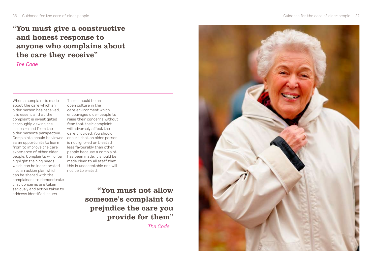### "You must give a constructive and honest response to anyone who complains about the care they receive"

*The Code*

When a complaint is made about the care which an older person has received, it is essential that the complaint is investigated thoroughly viewing the issues raised from the older person's perspective. Complaints should be viewed ensure that an older person as an opportunity to learn from to improve the care experience of other older people. Complaints will often has been made. It should be highlight training needs which can be incorporated into an action plan which can be shared with the complainant to demonstrate that concerns are taken seriously and action taken to address identified issues.

There should be an open culture in the care environment which encourages older people to raise their concerns without fear that their complaint will adversely affect the care provided. You should is not ignored or treated less favourably than other people because a complaint made clear to all staff that this is unacceptable and will not be tolerated.

> "You must not allow someone's complaint to prejudice the care you provide for them" *The Code*

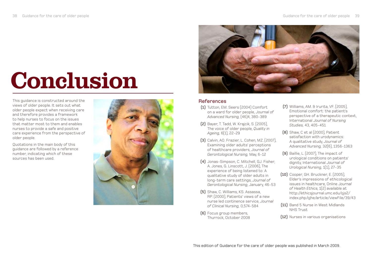# Conclusion

This guidance is constructed around the views of older people. It sets out what older people expect when receiving care and therefore provides a framework to help nurses to focus on the issues that matter most to them and enables nurses to provide a safe and positive care experience from the perspective of older people.

Quotations in the main body of this guidance are followed by a reference number, indicating which of these sources has been used.



#### References

- **(1)** Tutton, EM. Seers (2004) Comfort on a ward for older people, *Journal of Advanced Nursing,* (46)4, 380-389
- **(2)** Bayer, T. Tadd, W. Krajcik, S. (2005), The voice of older people, *Quality in Ageing,* 6(1), 22-29
- **(3)** Calvin, AO. Frazier, L. Cohen, MZ. (2007), Examining older adults' perceptions of healthcare providers, *Journal of Gerontological Nursing,* May, 6-12
- **(4)** Jonas-Simpson, C. Mitchell, GJ. Fisher, A. Jones, G. Linscott, J. (2006), The experience of being listened to: A qualitative study of older adults in long-term care settings, *Journal of Gerontological Nursing*, January, 46-53
- **(5)** Shaw, C. Williams, KS. Assassa, RP. (2000), Patients' views of a new nurse led continence service, *Journal of Clinical Nursing,* 0,574-584
- **(6)** Focus group members, Thurrock, October 2008
- **(7)** Williams, AM. & Irurita, VF. (2005), Emotional comfort: the patient's perspective of a therapeutic context, International *Journal of Nursing Studies,* 43, 405-451
- **(8)** Shaw, C et al (2000), Patient satisfaction with urodynamics: A qualitative study, *Journal of Advanced Nursing,* 32(6), 1356-1363
- **(9)** Baillie, L. (2007), The impact of urological conditions on patients' dignity, International *Journal of Urological Nursing,* 1(1), 27-35
- **(10)** Cooper, GH. Bruckner, E. (2005), Elder's impressions of ethicological issues in healthcare, Online J*ournal of Health Ethics,* 1(2) available at http://ethicsjournal.umc.edu/ojs2/ index.php/ojhe/article/viewFile/39/43
- **(11)** Band 5 Nurse in West Midlands NHS Trust
- **(12)** Nurses in various organisations